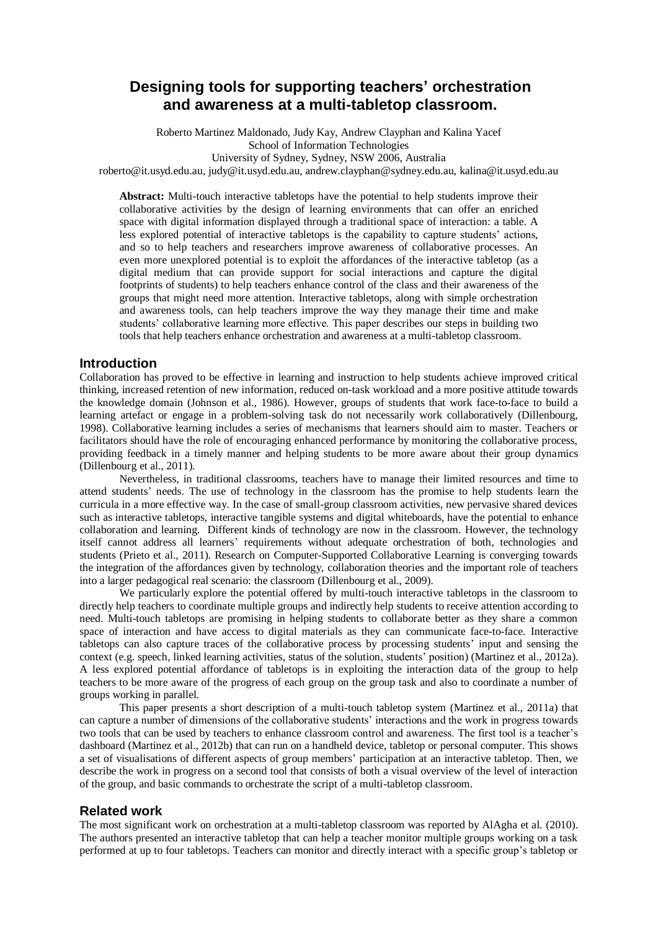# **Designing tools for supporting teachers' orchestration and awareness at a multi-tabletop classroom.**

Roberto Martinez Maldonado, Judy Kay, Andrew Clayphan and Kalina Yacef School of Information Technologies University of Sydney, Sydney, NSW 2006, Australia

roberto@it.usyd.edu.au, judy@it.usyd.edu.au, andrew.clayphan@sydney.edu.au, kalina@it.usyd.edu.au

**Abstract:** Multi-touch interactive tabletops have the potential to help students improve their collaborative activities by the design of learning environments that can offer an enriched space with digital information displayed through a traditional space of interaction: a table. A less explored potential of interactive tabletops is the capability to capture students' actions, and so to help teachers and researchers improve awareness of collaborative processes. An even more unexplored potential is to exploit the affordances of the interactive tabletop (as a digital medium that can provide support for social interactions and capture the digital footprints of students) to help teachers enhance control of the class and their awareness of the groups that might need more attention. Interactive tabletops, along with simple orchestration and awareness tools, can help teachers improve the way they manage their time and make students' collaborative learning more effective. This paper describes our steps in building two tools that help teachers enhance orchestration and awareness at a multi-tabletop classroom.

## **Introduction**

Collaboration has proved to be effective in learning and instruction to help students achieve improved critical thinking, increased retention of new information, reduced on-task workload and a more positive attitude towards the knowledge domain [\(Johnson et al., 1986\)](#page-3-0). However, groups of students that work face-to-face to build a learning artefact or engage in a problem-solving task do not necessarily work collaboratively [\(Dillenbourg,](#page-3-1)  [1998\)](#page-3-1). Collaborative learning includes a series of mechanisms that learners should aim to master. Teachers or facilitators should have the role of encouraging enhanced performance by monitoring the collaborative process, providing feedback in a timely manner and helping students to be more aware about their group dynamics [\(Dillenbourg et al., 2011\)](#page-3-2).

Nevertheless, in traditional classrooms, teachers have to manage their limited resources and time to attend students' needs. The use of technology in the classroom has the promise to help students learn the curricula in a more effective way. In the case of small-group classroom activities, new pervasive shared devices such as interactive tabletops, interactive tangible systems and digital whiteboards, have the potential to enhance collaboration and learning. Different kinds of technology are now in the classroom. However, the technology itself cannot address all learners' requirements without adequate orchestration of both, technologies and students [\(Prieto et al., 2011\)](#page-3-3). Research on Computer-Supported Collaborative Learning is converging towards the integration of the affordances given by technology, collaboration theories and the important role of teachers into a larger pedagogical real scenario: the classroom [\(Dillenbourg et al., 2009\)](#page-3-4).

We particularly explore the potential offered by multi-touch interactive tabletops in the classroom to directly help teachers to coordinate multiple groups and indirectly help students to receive attention according to need. Multi-touch tabletops are promising in helping students to collaborate better as they share a common space of interaction and have access to digital materials as they can communicate face-to-face. Interactive tabletops can also capture traces of the collaborative process by processing students' input and sensing the context (e.g. speech, linked learning activities, status of the solution, students' position) [\(Martinez et al., 2012a\)](#page-3-5). A less explored potential affordance of tabletops is in exploiting the interaction data of the group to help teachers to be more aware of the progress of each group on the group task and also to coordinate a number of groups working in parallel.

This paper presents a short description of a multi-touch tabletop system [\(Martinez et al., 2011a\)](#page-3-6) that can capture a number of dimensions of the collaborative students' interactions and the work in progress towards two tools that can be used by teachers to enhance classroom control and awareness. The first tool is a teacher's dashboard [\(Martinez et al., 2012b\)](#page-3-7) that can run on a handheld device, tabletop or personal computer. This shows a set of visualisations of different aspects of group members' participation at an interactive tabletop. Then, we describe the work in progress on a second tool that consists of both a visual overview of the level of interaction of the group, and basic commands to orchestrate the script of a multi-tabletop classroom.

#### **Related work**

The most significant work on orchestration at a multi-tabletop classroom was reported by AlAgha et al. [\(2010\)](#page-3-8). The authors presented an interactive tabletop that can help a teacher monitor multiple groups working on a task performed at up to four tabletops. Teachers can monitor and directly interact with a specific group's tabletop or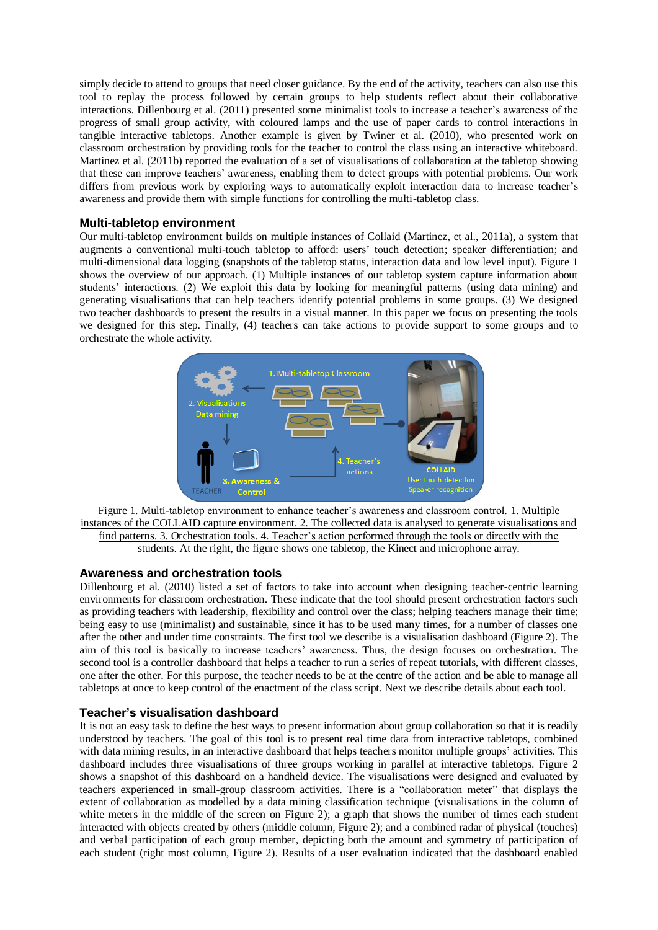simply decide to attend to groups that need closer guidance. By the end of the activity, teachers can also use this tool to replay the process followed by certain groups to help students reflect about their collaborative interactions. Dillenbourg et al. [\(2011\)](#page-3-2) presented some minimalist tools to increase a teacher's awareness of the progress of small group activity, with coloured lamps and the use of paper cards to control interactions in tangible interactive tabletops. Another example is given by Twiner et al. [\(2010\)](#page-3-9), who presented work on classroom orchestration by providing tools for the teacher to control the class using an interactive whiteboard. Martinez et al. [\(2011b\)](#page-3-10) reported the evaluation of a set of visualisations of collaboration at the tabletop showing that these can improve teachers' awareness, enabling them to detect groups with potential problems. Our work differs from previous work by exploring ways to automatically exploit interaction data to increase teacher's awareness and provide them with simple functions for controlling the multi-tabletop class.

## **Multi-tabletop environment**

Our multi-tabletop environment builds on multiple instances of Collaid [\(Martinez, et al., 2011a\)](#page-3-6), a system that augments a conventional multi-touch tabletop to afford: users' touch detection; speaker differentiation; and multi-dimensional data logging (snapshots of the tabletop status, interaction data and low level input). Figure 1 shows the overview of our approach. (1) Multiple instances of our tabletop system capture information about students' interactions. (2) We exploit this data by looking for meaningful patterns (using data mining) and generating visualisations that can help teachers identify potential problems in some groups. (3) We designed two teacher dashboards to present the results in a visual manner. In this paper we focus on presenting the tools we designed for this step. Finally, (4) teachers can take actions to provide support to some groups and to orchestrate the whole activity.



Figure 1. Multi-tabletop environment to enhance teacher's awareness and classroom control. 1. Multiple instances of the COLLAID capture environment. 2. The collected data is analysed to generate visualisations and find patterns. 3. Orchestration tools. 4. Teacher's action performed through the tools or directly with the students. At the right, the figure shows one tabletop, the Kinect and microphone array.

#### **Awareness and orchestration tools**

Dillenbourg et al. [\(2010\)](#page-3-11) listed a set of factors to take into account when designing teacher-centric learning environments for classroom orchestration. These indicate that the tool should present orchestration factors such as providing teachers with leadership, flexibility and control over the class; helping teachers manage their time; being easy to use (minimalist) and sustainable, since it has to be used many times, for a number of classes one after the other and under time constraints. The first tool we describe is a visualisation dashboard (Figure 2). The aim of this tool is basically to increase teachers' awareness. Thus, the design focuses on orchestration. The second tool is a controller dashboard that helps a teacher to run a series of repeat tutorials, with different classes, one after the other. For this purpose, the teacher needs to be at the centre of the action and be able to manage all tabletops at once to keep control of the enactment of the class script. Next we describe details about each tool.

#### **Teacher's visualisation dashboard**

It is not an easy task to define the best ways to present information about group collaboration so that it is readily understood by teachers. The goal of this tool is to present real time data from interactive tabletops, combined with data mining results, in an interactive dashboard that helps teachers monitor multiple groups' activities. This dashboard includes three visualisations of three groups working in parallel at interactive tabletops. Figure 2 shows a snapshot of this dashboard on a handheld device. The visualisations were designed and evaluated by teachers experienced in small-group classroom activities. There is a "collaboration meter" that displays the extent of collaboration as modelled by a data mining classification technique (visualisations in the column of white meters in the middle of the screen on Figure 2); a graph that shows the number of times each student interacted with objects created by others (middle column, Figure 2); and a combined radar of physical (touches) and verbal participation of each group member, depicting both the amount and symmetry of participation of each student (right most column, Figure 2). Results of a user evaluation indicated that the dashboard enabled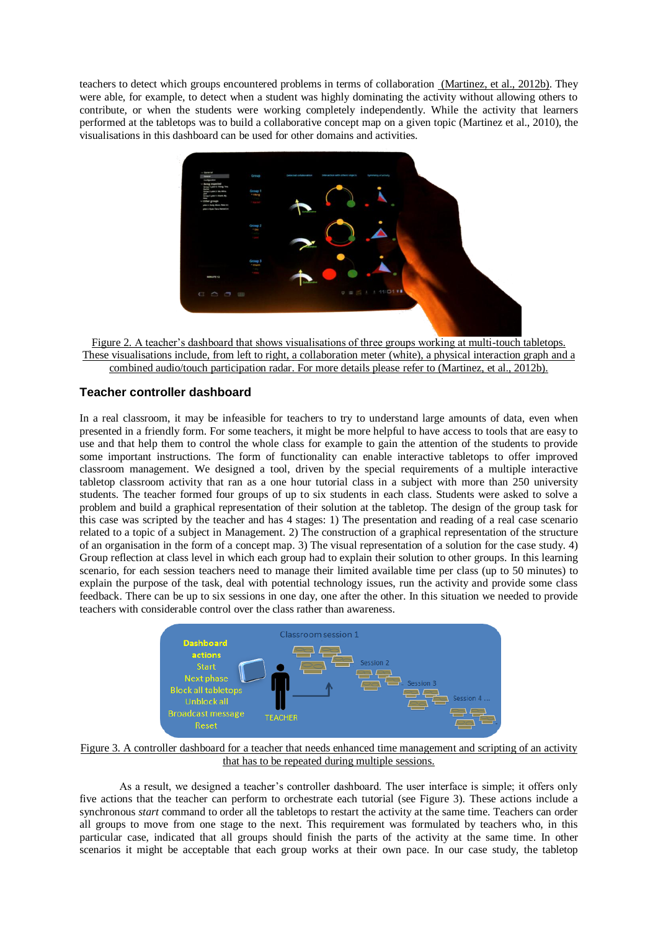teachers to detect which groups encountered problems in terms of collaboration [\(Martinez, et al., 2012b\)](#page-3-7). They were able, for example, to detect when a student was highly dominating the activity without allowing others to contribute, or when the students were working completely independently. While the activity that learners performed at the tabletops was to build a collaborative concept map on a given topic [\(Martinez et al., 2010\)](#page-3-12), the visualisations in this dashboard can be used for other domains and activities.



Figure 2. A teacher's dashboard that shows visualisations of three groups working at multi-touch tabletops. These visualisations include, from left to right, a collaboration meter (white), a physical interaction graph and a combined audio/touch participation radar. For more details please refer to [\(Martinez, et al., 2012b\)](#page-3-7).

## **Teacher controller dashboard**

In a real classroom, it may be infeasible for teachers to try to understand large amounts of data, even when presented in a friendly form. For some teachers, it might be more helpful to have access to tools that are easy to use and that help them to control the whole class for example to gain the attention of the students to provide some important instructions. The form of functionality can enable interactive tabletops to offer improved classroom management. We designed a tool, driven by the special requirements of a multiple interactive tabletop classroom activity that ran as a one hour tutorial class in a subject with more than 250 university students. The teacher formed four groups of up to six students in each class. Students were asked to solve a problem and build a graphical representation of their solution at the tabletop. The design of the group task for this case was scripted by the teacher and has 4 stages: 1) The presentation and reading of a real case scenario related to a topic of a subject in Management. 2) The construction of a graphical representation of the structure of an organisation in the form of a concept map. 3) The visual representation of a solution for the case study. 4) Group reflection at class level in which each group had to explain their solution to other groups. In this learning scenario, for each session teachers need to manage their limited available time per class (up to 50 minutes) to explain the purpose of the task, deal with potential technology issues, run the activity and provide some class feedback. There can be up to six sessions in one day, one after the other. In this situation we needed to provide teachers with considerable control over the class rather than awareness.



Figure 3. A controller dashboard for a teacher that needs enhanced time management and scripting of an activity that has to be repeated during multiple sessions.

As a result, we designed a teacher's controller dashboard. The user interface is simple; it offers only five actions that the teacher can perform to orchestrate each tutorial (see Figure 3). These actions include a synchronous *start* command to order all the tabletops to restart the activity at the same time. Teachers can order all groups to move from one stage to the next. This requirement was formulated by teachers who, in this particular case, indicated that all groups should finish the parts of the activity at the same time. In other scenarios it might be acceptable that each group works at their own pace. In our case study, the tabletop